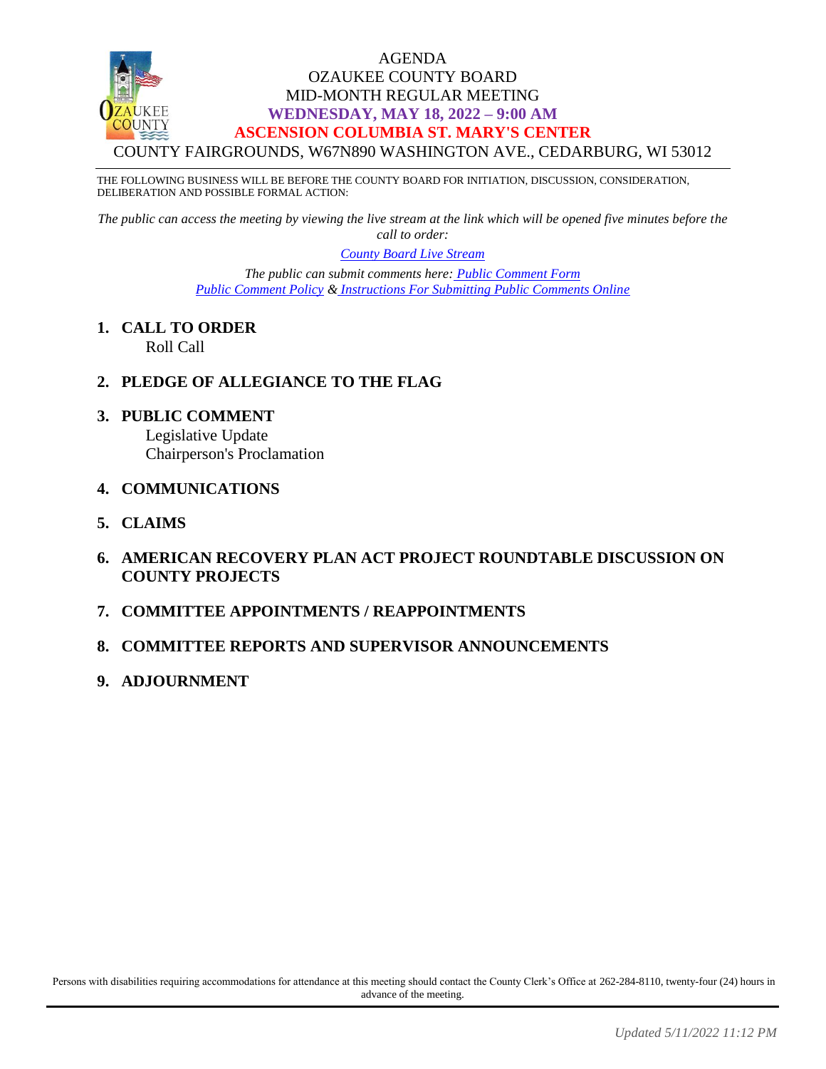#### AGENDA OZAUKEE COUNTY BOARD MID-MONTH REGULAR MEETING **WEDNESDAY, MAY 18, 2022 – 9:00 AM ASCENSION COLUMBIA ST. MARY'S CENTER** COUNTY FAIRGROUNDS, W67N890 WASHINGTON AVE., CEDARBURG, WI 53012

THE FOLLOWING BUSINESS WILL BE BEFORE THE COUNTY BOARD FOR INITIATION, DISCUSSION, CONSIDERATION, DELIBERATION AND POSSIBLE FORMAL ACTION:

*The public can access the meeting by viewing the live stream at the link which will be opened five minutes before the call to order:*

> *[County Board Live Stream](https://www.youtube.com/channel/UCQ16yLTEJmJo_h02WDDqcqg) The public can submit comments here: [Public Comment Form](https://www.co.ozaukee.wi.us/FormCenter/Email-Forms-28/Email-Public-Comment-300) [Public Comment Policy](https://www.co.ozaukee.wi.us/2663/Public-Comments-at-In-Person-Meetings) & [Instructions For Submitting Public Comments Online](https://www.co.ozaukee.wi.us/2645/Public-Comments-at-Zoom-Meetings)*

- **1. CALL TO ORDER** Roll Call
- **2. PLEDGE OF ALLEGIANCE TO THE FLAG**
- **3. PUBLIC COMMENT** Legislative Update

Chairperson's Proclamation

- **4. COMMUNICATIONS**
- **5. CLAIMS**
- **6. AMERICAN RECOVERY PLAN ACT PROJECT ROUNDTABLE DISCUSSION ON COUNTY PROJECTS**
- **7. COMMITTEE APPOINTMENTS / REAPPOINTMENTS**
- **8. COMMITTEE REPORTS AND SUPERVISOR ANNOUNCEMENTS**
- **9. ADJOURNMENT**

Persons with disabilities requiring accommodations for attendance at this meeting should contact the County Clerk's Office at 262-284-8110, twenty-four (24) hours in advance of the meeting.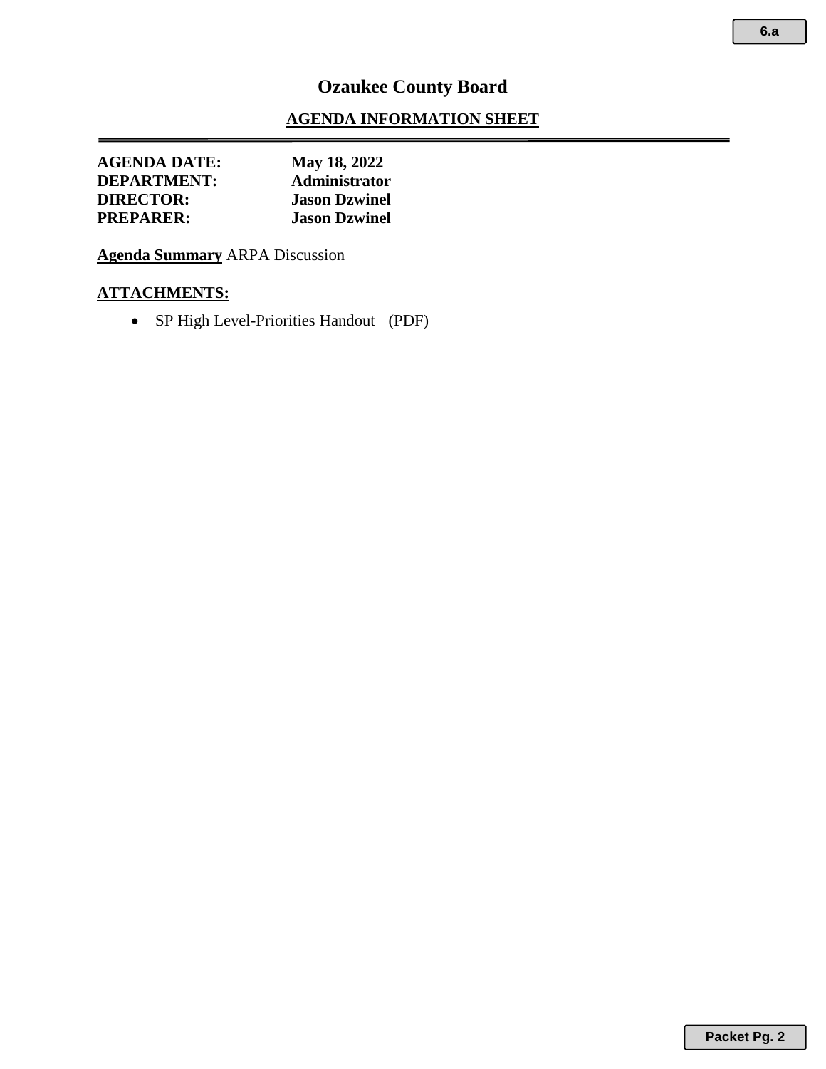#### **AGENDA INFORMATION SHEET**

| <b>AGENDA DATE:</b> | May 18, 2022         |
|---------------------|----------------------|
| <b>DEPARTMENT:</b>  | <b>Administrator</b> |
| <b>DIRECTOR:</b>    | <b>Jason Dzwinel</b> |
| <b>PREPARER:</b>    | <b>Jason Dzwinel</b> |

**Agenda Summary** ARPA Discussion

#### **ATTACHMENTS:**

• SP High Level-Priorities Handout (PDF)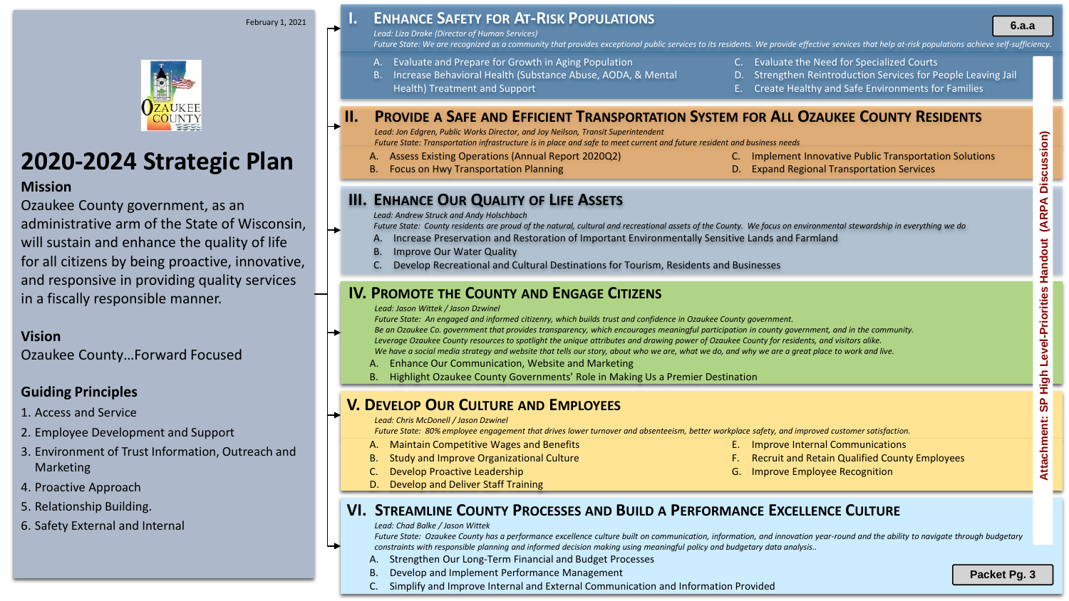# **2020-2024 Strategic Plan**

#### **Mission**

Ozaukee County government, as an administrative arm of the State of Wisconsin, will sustain and enhance the quality of life for all citizens by being proactive, innovative, and responsive in providing quality services in a fiscally responsible manner.

#### **Vision**

Ozaukee County…Forward Focused

#### **Guiding Principles**

- 1. Access and Service
- 2. Employee Development and Support
- 3. Environment of Trust Information, Outreach and Marketing
- 4. Proactive Approach
- 5. Relationship Building.
- 6. Safety External and Internal

## **I. ENHANCE SAFETY FOR AT-RISK POPULATIONS** February 1, 2021 **6.a.a**

*Lead: Liza Drake (Director of Human Services)*

*Future State: We are recognized as a community that provides exceptional public services to its residents. We provide effective services that help at-risk populations achieve self-sufficiency.*

- A. Evaluate and Prepare for Growth in Aging Population
- B. Increase Behavioral Health (Substance Abuse, AODA, & Mental Health) Treatment and Support
- C. Evaluate the Need for Specialized Courts
- D. Strengthen Reintroduction Services for People Leaving Jail
- E. Create Healthy and Safe Environments for Families

### **II. PROVIDE A SAFE AND EFFICIENT TRANSPORTATION SYSTEM FOR ALL OZAUKEE COUNTY RESIDENTS**

*Lead: Jon Edgren, Public Works Director, and Joy Neilson, Transit Superintendent*

*Future State: Transportation infrastructure is in place and safe to meet current and future resident and business needs*

- A. Assess Existing Operations (Annual Report 2020Q2)
- B. Focus on Hwy Transportation Planning
- C. Implement Innovative Public Transportation Solutions
- D. Expand Regional Transportation Services

### **III. ENHANCE OUR QUALITY OF LIFE ASSETS**

#### *Lead: Andrew Struck and Andy Holschbach*

*Future State: County residents are proud of the natural, cultural and recreational assets of the County. We focus on environmental stewardship in everything we do*

- A. Increase Preservation and Restoration of Important Environmentally Sensitive Lands and Farmland
- B. Improve Our Water Quality
- C. Develop Recreational and Cultural Destinations for Tourism, Residents and Businesses

### **IV. PROMOTE THE COUNTY AND ENGAGE CITIZENS**

*Lead: Jason Wittek / Jason Dzwinel*

*Future State: An engaged and informed citizenry, which builds trust and confidence in Ozaukee County government.*

*Be an Ozaukee Co. government that provides transparency, which encourages meaningful participation in county government, and in the community. Leverage Ozaukee County resources to spotlight the unique attributes and drawing power of Ozaukee County for residents, and visitors alike.*

*We have a social media strategy and website that tells our story, about who we are, what we do, and why we are a great place to work and live.* 

- A. Enhance Our Communication, Website and Marketing
- B. Highlight Ozaukee County Governments' Role in Making Us a Premier Destination

### **V. DEVELOP OUR CULTURE AND EMPLOYEES**

*Lead: Chris McDonell / Jason Dzwinel*

*Future State: 80% employee engagement that drives lower turnover and absenteeism, better workplace safety, and improved customer satisfaction.*

- A. Maintain Competitive Wages and Benefits
- **Study and Improve Organizational Culture**
- C. Develop Proactive Leadership
- D. Develop and Deliver Staff Training
- E. Improve Internal Communications **Recruit and Retain Qualified County Employees** 
	- G. Improve Employee Recognition
- 

## **VI. STREAMLINE COUNTY PROCESSES AND BUILD A PERFORMANCE EXCELLENCE CULTURE**

*Lead: Chad Balke / Jason Wittek*

*Future State: Ozaukee County has a performance excellence culture built on communication, information, and innovation year-round and the ability to navigate through budgetary constraints with responsible planning and informed decision making using meaningful policy and budgetary data analysis..*

- A. Strengthen Our Long-Term Financial and Budget Processes
- B. Develop and Implement Performance Management
- C. Simplify and Improve Internal and External Communication and Information Provided

**Packet Pg. 3**